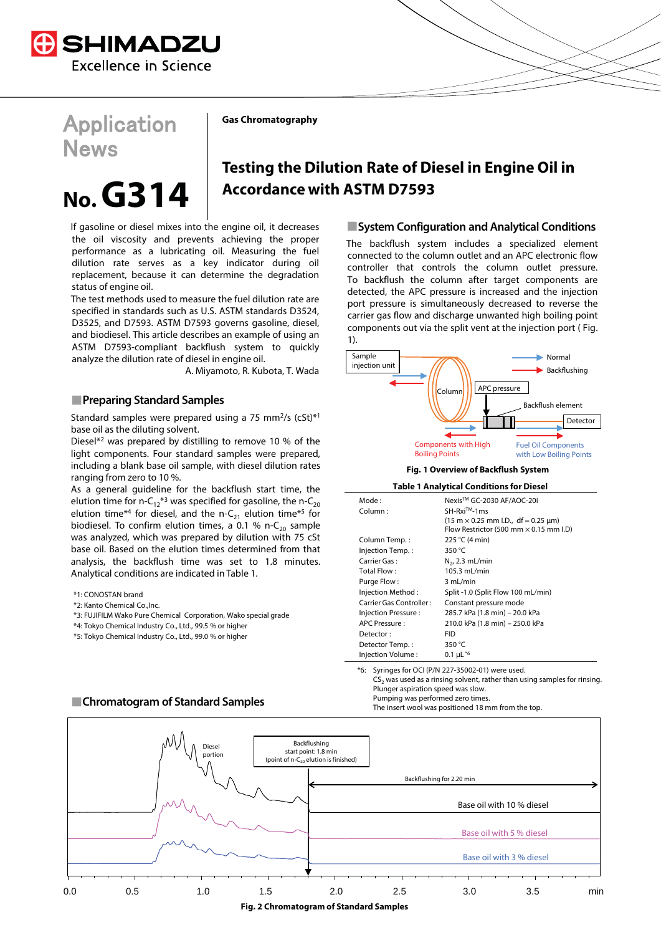

# **Application News**

**Gas Chromatography**

A. Miyamoto, R. Kubota, T. Wada

# **No. G314**

status of engine oil.

If gasoline or diesel mixes into the engine oil, it decreases the oil viscosity and prevents achieving the proper performance as a lubricating oil. Measuring the fuel dilution rate serves as a key indicator during oil replacement, because it can determine the degradation

The test methods used to measure the fuel dilution rate are specified in standards such as U.S. ASTM standards D3524, D3525, and D7593. ASTM D7593 governs gasoline, diesel, and biodiesel. This article describes an example of using an ASTM D7593-compliant backflush system to quickly

Standard samples were prepared using a 75 mm<sup>2</sup>/s (cSt)\*<sup>1</sup>

Diesel $*^2$  was prepared by distilling to remove 10 % of the light components. Four standard samples were prepared, including a blank base oil sample, with diesel dilution rates

As a general guideline for the backflush start time, the elution time for n-C<sub>12</sub><sup>\*3</sup> was specified for gasoline, the n-C<sub>20</sub> elution time\*<sup>4</sup> for diesel, and the n-C<sub>21</sub> elution time\*<sup>5</sup> for biodiesel. To confirm elution times, a 0.1 % n- $C_{20}$  sample was analyzed, which was prepared by dilution with 75 cSt base oil. Based on the elution times determined from that analysis, the backflush time was set to 1.8 minutes.

analyze the dilution rate of diesel in engine oil.

**Preparing Standard Samples**

base oil as the diluting solvent.

ranging from zero to 10 %.

\*1: CONOSTAN brand \*2: Kanto Chemical Co.,Inc.

 $\overline{ }$ 

# **Testing the Dilution Rate of Diesel in Engine Oil in Accordance with ASTM D7593**

**System Configuration and Analytical Conditions**

The backflush system includes a specialized element connected to the column outlet and an APC electronic flow controller that controls the column outlet pressure. To backflush the column after target components are detected, the APC pressure is increased and the injection port pressure is simultaneously decreased to reverse the carrier gas flow and discharge unwanted high boiling point components out via the split vent at the injection port ( Fig. 1).



**Table 1 Analytical Conditions for Diesel**

| Mode:                   | Nexis™ GC-2030 AF/AOC-20i                                            |
|-------------------------|----------------------------------------------------------------------|
| Column:                 | SH-Rxi™-1ms                                                          |
|                         | $(15 \text{ m} \times 0.25 \text{ mm} \cdot L)$ , df = 0.25 $\mu$ m) |
|                         | Flow Restrictor (500 mm $\times$ 0.15 mm l.D)                        |
| Column Temp.:           | 225 °C (4 min)                                                       |
| Injection Temp.:        | 350 °C                                                               |
| Carrier Gas:            | $N2$ , 2.3 mL/min                                                    |
| Total Flow:             | 105.3 mL/min                                                         |
| Purge Flow:             | 3 mL/min                                                             |
| Injection Method:       | Split -1.0 (Split Flow 100 mL/min)                                   |
| Carrier Gas Controller: | Constant pressure mode                                               |
| Injection Pressure:     | 285.7 kPa (1.8 min) – 20.0 kPa                                       |
| APC Pressure:           | 210.0 kPa (1.8 min) - 250.0 kPa                                      |
| Detector:               | <b>FID</b>                                                           |
| Detector Temp.:         | 350 °C                                                               |
| Injection Volume:       | 0.1 $\mu$ L <sup>*6</sup>                                            |

Syringes for OCI (P/N 227-35002-01) were used.  $CS<sub>2</sub>$  was used as a rinsing solvent, rather than using samples for rinsing. Plunger aspiration speed was slow. Pumping was performed zero times. The insert wool was positioned 18 mm from the top.



## **Chromatogram of Standard Samples**

Analytical conditions are indicated in Table 1.

\*4: Tokyo Chemical Industry Co., Ltd., 99.5 % or higher \*5: Tokyo Chemical Industry Co., Ltd., 99.0 % or higher

\*3: FUJIFILM Wako Pure Chemical Corporation, Wako special grade

**Fig. 2 Chromatogram of Standard Samples**